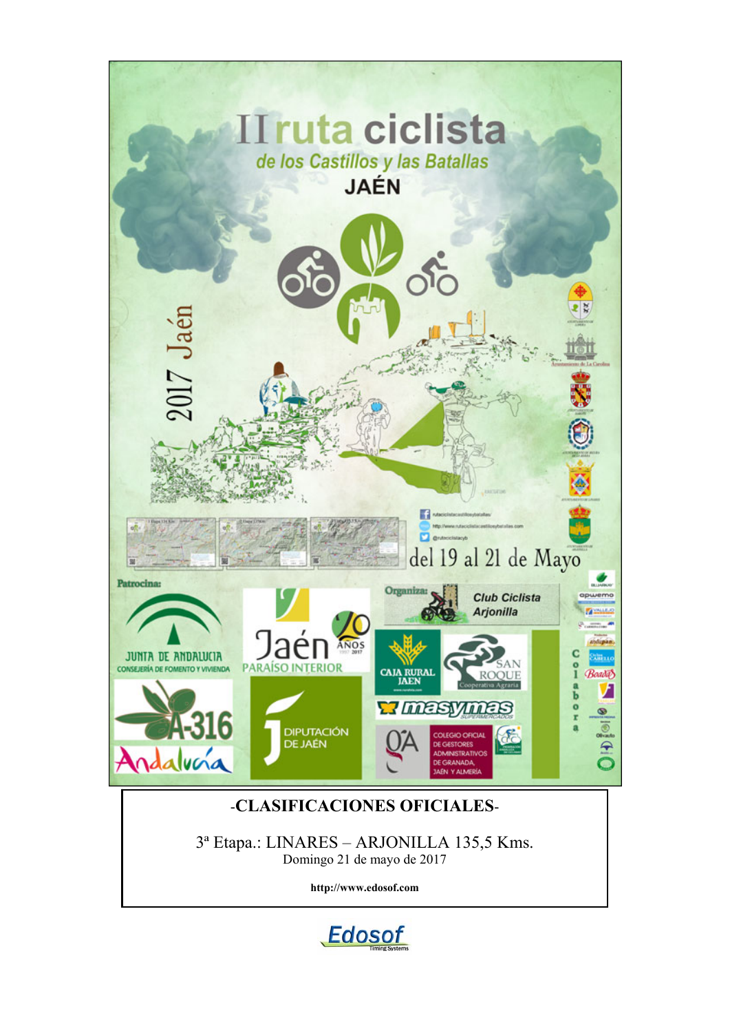

**http://www.edosof.com**

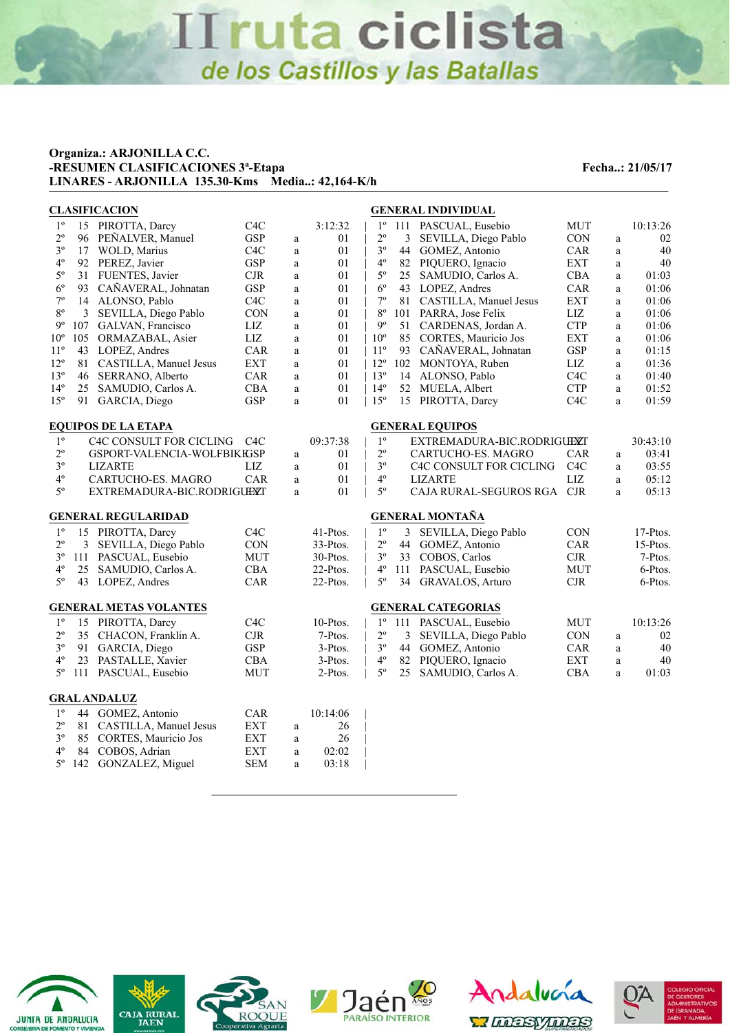#### **Organiza.: ARJONILLA C.C. -RESUMEN CLASIFICACIONES 3<sup>ª</sup>-Etapa Fecha..: 21/05/17 LINARES - ARJONILLA 135.30-Kms Media..: 42,164-K/h**

|                |     | <b>CLASIFICACION</b>          |                  |              | <b>GENERAL INDIVIDUAL</b> |                                                            |              |             |  |  |
|----------------|-----|-------------------------------|------------------|--------------|---------------------------|------------------------------------------------------------|--------------|-------------|--|--|
| $1^{\circ}$    |     | 15 PIROTTA, Darcy             | C <sub>4</sub> C |              | 3:12:32                   | $1^{\circ}$<br>111 PASCUAL, Eusebio<br><b>MUT</b>          |              | 10:13:26    |  |  |
| $2^{\circ}$    | 96  | PEÑALVER, Manuel              | <b>GSP</b>       | a            | 01                        | $2^{\circ}$<br>CON<br>3<br>SEVILLA, Diego Pablo            | $\rm{a}$     | 02          |  |  |
| $3^{\circ}$    | 17  | WOLD, Marius                  | C <sub>4</sub> C | $\mathbf{a}$ | 01                        | $3^{\circ}$<br>44 GOMEZ, Antonio<br>CAR                    | $\rm{a}$     | $40\,$      |  |  |
| $4^{\circ}$    | 92  | PEREZ, Javier                 | <b>GSP</b>       | a            | 01                        | $4^{\circ}$<br>82 PIQUERO, Ignacio<br><b>EXT</b>           | a            | 40          |  |  |
| $5^{\circ}$    | 31  | FUENTES, Javier               | CJR              | a            | 01                        | $5^{\circ}$<br>25 SAMUDIO, Carlos A.<br><b>CBA</b>         | $\rm{a}$     | 01:03       |  |  |
| $6^{\circ}$    | 93  | CAÑAVERAL, Johnatan           | <b>GSP</b>       | $\mathbf{a}$ | 01                        | $6^{\circ}$<br>43 LOPEZ, Andres<br>CAR                     | $\rm{a}$     | 01:06       |  |  |
| $7^{\rm o}$    | 14  | ALONSO, Pablo                 | C <sub>4</sub> C | $\rm{a}$     | 01                        | $7^{\circ}$<br><b>EXT</b><br>81 CASTILLA, Manuel Jesus     | $\rm{a}$     | 01:06       |  |  |
| $8^{\circ}$    | 3   | SEVILLA, Diego Pablo          | <b>CON</b>       | $\mathbf{a}$ | 01                        | $8^{\circ}$<br>LIZ<br>101 PARRA, Jose Felix                | $\rm{a}$     | 01:06       |  |  |
| $9^{\circ}$    | 107 | GALVAN, Francisco             | LIZ              | a            | 01                        | $9^{\circ}$<br><b>CTP</b><br>51 CARDENAS, Jordan A.        | $\rm{a}$     | 01:06       |  |  |
| $10^{\circ}$   | 105 | ORMAZABAL, Asier              | LIZ              | $\mathbf{a}$ | 01                        | $10^{\circ}$<br><b>EXT</b><br>85 CORTES, Mauricio Jos      | $\mathbf{a}$ | 01:06       |  |  |
| $11^{\circ}$   | 43  | LOPEZ, Andres                 | CAR              | $\mathbf{a}$ | 01                        | $11^{\circ}$<br>93 CAÑAVERAL, Johnatan<br><b>GSP</b>       | $\rm{a}$     | 01:15       |  |  |
| $12^{\circ}$   | 81  | CASTILLA, Manuel Jesus        | <b>EXT</b>       | a            | 01                        | $12^{\circ}$<br>102 MONTOYA, Ruben<br>LIZ                  | a            | 01:36       |  |  |
| $13^{\circ}$   | 46  | SERRANO, Alberto              | CAR              | $\mathbf{a}$ | 01                        | $13^{\circ}$<br>C <sub>4</sub> C<br>14 ALONSO, Pablo       | a            | 01:40       |  |  |
| $14^{\circ}$   | 25  | SAMUDIO, Carlos A.            | <b>CBA</b>       | $\mathbf{a}$ | 01                        | $14^{\circ}$<br><b>CTP</b><br>52 MUELA, Albert             | $\rm{a}$     | 01:52       |  |  |
| $15^{\circ}$   | 91  | GARCIA, Diego                 | <b>GSP</b>       | a            | 01                        | $15^{\circ}$<br>C <sub>4</sub> C<br>15<br>PIROTTA, Darcy   | $\rm{a}$     | 01:59       |  |  |
|                |     | <b>EQUIPOS DE LA ETAPA</b>    |                  |              |                           | <b>GENERAL EQUIPOS</b>                                     |              |             |  |  |
| $1^{\circ}$    |     | C4C CONSULT FOR CICLING       | C4C              |              | 09:37:38                  | $1^{\circ}$<br>EXTREMADURA-BIC.RODRIGUEXT                  |              | 30:43:10    |  |  |
| $2^{\circ}$    |     | GSPORT-VALENCIA-WOLFBIKEGSP   |                  | $\rm{a}$     | 01                        | $2^{\circ}$<br>CARTUCHO-ES. MAGRO<br><b>CAR</b>            | $\rm{a}$     | 03:41       |  |  |
| $3^{\circ}$    |     | <b>LIZARTE</b>                | LIZ              | $\mathbf{a}$ | 01                        | $3^{\circ}$<br>C <sub>4</sub> C<br>C4C CONSULT FOR CICLING | $\rm{a}$     | 03:55       |  |  |
| $4^{\circ}$    |     | CARTUCHO-ES. MAGRO            | <b>CAR</b>       | a            | 01                        | $4^{\circ}$<br><b>LIZ</b><br><b>LIZARTE</b>                | a            | 05:12       |  |  |
| $5^{\rm o}$    |     | EXTREMADURA-BIC.RODRIGUEXT    |                  | a            | 01                        | $5^{\circ}$<br><b>CJR</b><br>CAJA RURAL-SEGUROS RGA        | a            | 05:13       |  |  |
|                |     |                               |                  |              |                           |                                                            |              |             |  |  |
|                |     | <b>GENERAL REGULARIDAD</b>    |                  |              |                           | <b>GENERAL MONTAÑA</b>                                     |              |             |  |  |
| $1^{\circ}$    |     | 15 PIROTTA, Darcy             | C <sub>4</sub> C |              | 41-Ptos.                  | $1^{\circ}$<br>CON<br>3 SEVILLA, Diego Pablo               |              | $17-P$ tos. |  |  |
| $2^{\circ}$    | 3   | SEVILLA, Diego Pablo          | <b>CON</b>       |              | 33-Ptos.                  | $2^{\circ}$<br>CAR<br>GOMEZ, Antonio<br>44                 |              | $15-P$ tos. |  |  |
| $3^{\circ}$    | 111 | PASCUAL, Eusebio              | <b>MUT</b>       |              | 30-Ptos.                  | $3^{\circ}$<br>CJR<br>33 COBOS, Carlos                     |              | 7-Ptos.     |  |  |
| $4^{\rm o}$    | 25  | SAMUDIO, Carlos A.            | CBA              |              | 22-Ptos.                  | $4^{\circ}$<br><b>MUT</b><br>111 PASCUAL, Eusebio          |              | 6-Ptos.     |  |  |
| $5^{\circ}$    |     | 43 LOPEZ, Andres              | CAR              |              | 22-Ptos.                  | 5°<br>CJR<br>34 GRAVALOS, Arturo                           |              | 6-Ptos.     |  |  |
|                |     | <b>GENERAL METAS VOLANTES</b> |                  |              |                           | <b>GENERAL CATEGORIAS</b>                                  |              |             |  |  |
| $1^{\circ}$    |     | 15 PIROTTA, Darcy             | C <sub>4</sub> C |              | 10-Ptos.                  | $1^{\circ}$<br><b>MUT</b><br>111 PASCUAL, Eusebio          |              | 10:13:26    |  |  |
| $2^{\circ}$    | 35  | CHACON, Franklin A.           | CJR              |              | 7-Ptos.                   | $2^{\circ}$<br>CON<br>3<br>SEVILLA, Diego Pablo            | $\rm{a}$     | 02          |  |  |
| 3 <sup>o</sup> | 91  | GARCIA, Diego                 | <b>GSP</b>       |              | $3-P$ tos.                | $3^{\circ}$<br>44 GOMEZ, Antonio<br>CAR                    | a            | 40          |  |  |
| $4^{\circ}$    | 23  | PASTALLE, Xavier              | <b>CBA</b>       |              | 3-Ptos.                   | $4^{\circ}$<br>82 PIQUERO, Ignacio<br><b>EXT</b>           | a            | 40          |  |  |
| $5^{\rm o}$    |     | 111 PASCUAL, Eusebio          | <b>MUT</b>       |              | 2-Ptos.                   | $5^{\circ}$<br>25<br>CBA<br>SAMUDIO, Carlos A.             | $\mathbf{a}$ | 01:03       |  |  |
|                |     |                               |                  |              |                           |                                                            |              |             |  |  |
|                |     | <b>GRAL ANDALUZ</b>           |                  |              |                           |                                                            |              |             |  |  |
| $1^{\circ}$    |     | 44 GOMEZ, Antonio             | CAR              |              | 10:14:06                  |                                                            |              |             |  |  |
| $2^{\circ}$    | 81  | CASTILLA, Manuel Jesus        | <b>EXT</b>       | a            | 26                        |                                                            |              |             |  |  |
| $3^{\circ}$    | 85  | CORTES, Mauricio Jos          | <b>EXT</b>       | $\rm{a}$     | 26                        |                                                            |              |             |  |  |
| $4^{\circ}$    | 84  | COBOS, Adrian                 | EXT              | a            | 02:02                     |                                                            |              |             |  |  |
| $5^{\circ}$    | 142 | GONZALEZ, Miguel              | <b>SEM</b>       | a            | 03:18                     |                                                            |              |             |  |  |











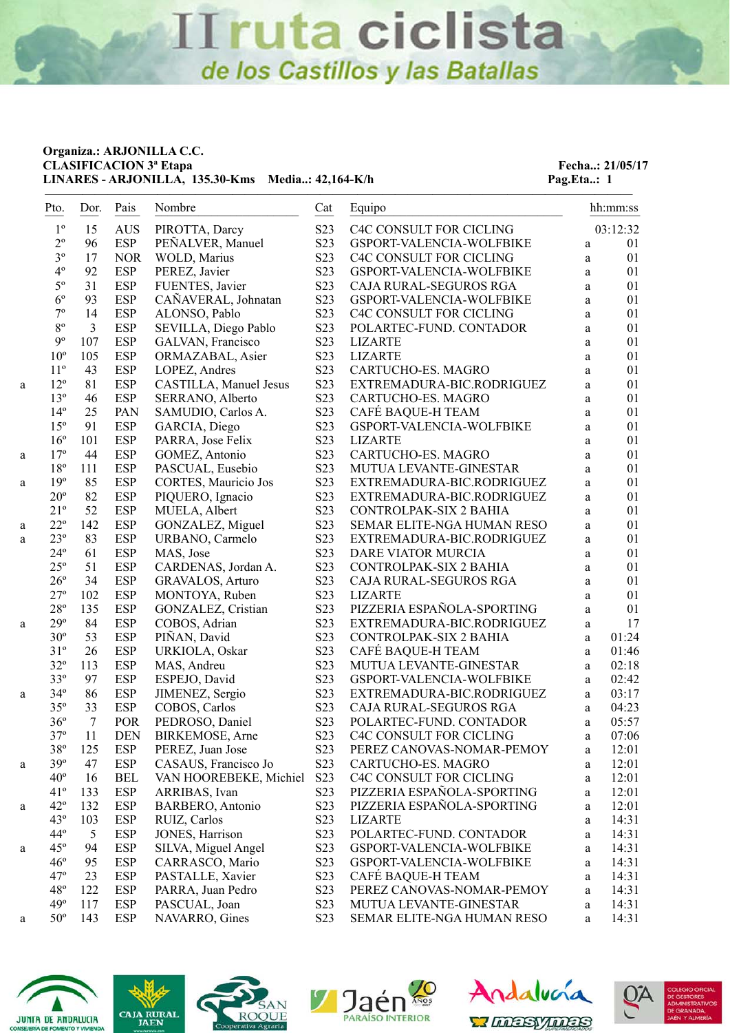#### **Organiza.: ARJONILLA C.C. CLASIFICACION 3<sup>ª</sup> Etapa Fecha..: 21/05/17** LINARES - ARJONILLA, 135.30-Kms Media..: 42,164-K/h Pag.Eta..: 1

|   | Pto.                       | Dor.           | Pais              | Nombre                          | Cat                                  | Equipo                                        |              | hh:mm:ss       |
|---|----------------------------|----------------|-------------------|---------------------------------|--------------------------------------|-----------------------------------------------|--------------|----------------|
|   | $1^{\circ}$                | 15             | <b>AUS</b>        | PIROTTA, Darcy                  | S <sub>2</sub> 3                     | C4C CONSULT FOR CICLING                       |              | 03:12:32       |
|   | $2^{\circ}$                | 96             | <b>ESP</b>        | PEÑALVER, Manuel                | S23                                  | GSPORT-VALENCIA-WOLFBIKE                      | $\rm{a}$     | 01             |
|   | $3^{\circ}$                | 17             | <b>NOR</b>        | WOLD, Marius                    | S23                                  | C4C CONSULT FOR CICLING                       | $\rm{a}$     | 01             |
|   | $4^{\rm o}$                | 92             | ESP               | PEREZ, Javier                   | S23                                  | GSPORT-VALENCIA-WOLFBIKE                      | a            | 01             |
|   | $5^{\rm o}$                | 31             | <b>ESP</b>        | FUENTES, Javier                 | S23                                  | CAJA RURAL-SEGUROS RGA                        | a            | 01             |
|   | $6^{\circ}$                | 93             | <b>ESP</b>        | CAÑAVERAL, Johnatan             | S23                                  | GSPORT-VALENCIA-WOLFBIKE                      | a            | 01             |
|   | $7^{\circ}$                | 14             | <b>ESP</b>        | ALONSO, Pablo                   | S <sub>2</sub> 3                     | C4C CONSULT FOR CICLING                       | $\rm{a}$     | 01             |
|   | $8^{\circ}$                | $\overline{3}$ | <b>ESP</b>        | SEVILLA, Diego Pablo            | S23                                  | POLARTEC-FUND. CONTADOR                       | $\rm{a}$     | 01             |
|   | $9^{\circ}$                | 107            | <b>ESP</b>        | GALVAN, Francisco               | S23                                  | <b>LIZARTE</b>                                | a            | 01             |
|   | $10^{\circ}$               | 105            | <b>ESP</b>        | ORMAZABAL, Asier                | S <sub>2</sub> 3                     | <b>LIZARTE</b>                                | a            | 01             |
|   | $11^{\circ}$               | 43             | <b>ESP</b>        | LOPEZ, Andres                   | S <sub>2</sub> 3                     | CARTUCHO-ES. MAGRO                            | a            | 01             |
| a | $12^{\circ}$               | 81             | <b>ESP</b>        | CASTILLA, Manuel Jesus          | S23                                  | EXTREMADURA-BIC.RODRIGUEZ                     | $\rm{a}$     | 01             |
|   | $13^{\circ}$               | 46             | <b>ESP</b>        | SERRANO, Alberto                | S23                                  | CARTUCHO-ES. MAGRO                            | $\rm{a}$     | 01             |
|   | $14^{\circ}$               | 25             | PAN               | SAMUDIO, Carlos A.              | S <sub>2</sub> 3                     | CAFÉ BAQUE-H TEAM                             | $\rm{a}$     | 01             |
|   | $15^{\circ}$               | 91             | ESP               | GARCIA, Diego                   | S <sub>2</sub> 3                     | GSPORT-VALENCIA-WOLFBIKE                      | $\rm{a}$     | 01             |
|   | $16^{\circ}$               | 101            | <b>ESP</b>        | PARRA, Jose Felix               | S23                                  | <b>LIZARTE</b>                                | $\rm{a}$     | 01             |
| a | $17^{\circ}$               | 44             | <b>ESP</b>        | GOMEZ, Antonio                  | S23                                  | CARTUCHO-ES. MAGRO                            | $\rm{a}$     | 01             |
|   | $18^{\rm o}$               | 111            | <b>ESP</b>        | PASCUAL, Eusebio                | S <sub>2</sub> 3                     | MUTUA LEVANTE-GINESTAR                        | $\rm{a}$     | 01             |
| a | $19^{\circ}$               | 85             | <b>ESP</b>        | CORTES, Mauricio Jos            | S23                                  | EXTREMADURA-BIC.RODRIGUEZ                     | $\mathbf{a}$ | 01             |
|   | $20^{\circ}$               | 82             | <b>ESP</b>        | PIQUERO, Ignacio                | S23                                  | EXTREMADURA-BIC.RODRIGUEZ                     | $\rm{a}$     | 01             |
|   | $21^{\circ}$               | 52             | <b>ESP</b>        | MUELA, Albert                   | S23                                  | CONTROLPAK-SIX 2 BAHIA                        | $\rm{a}$     | 01             |
| a | $22^{\circ}$               | 142            | <b>ESP</b>        | GONZALEZ, Miguel                | S23                                  | SEMAR ELITE-NGA HUMAN RESO                    | a            | 01             |
| a | $23^{\circ}$               | 83             | <b>ESP</b>        | URBANO, Carmelo                 | S23                                  | EXTREMADURA-BIC.RODRIGUEZ                     | $\rm{a}$     | 01             |
|   | $24^{\circ}$               | 61             | <b>ESP</b>        | MAS, Jose                       | S23                                  | DARE VIATOR MURCIA                            | a            | 01             |
|   | $25^{\circ}$               | 51             | <b>ESP</b>        | CARDENAS, Jordan A.             | S23                                  | CONTROLPAK-SIX 2 BAHIA                        | $\rm{a}$     | 01             |
|   | $26^{\circ}$               | 34             | <b>ESP</b>        | GRAVALOS, Arturo                | S23                                  | CAJA RURAL-SEGUROS RGA                        | $\rm{a}$     | 01             |
|   | $27^{\circ}$               | 102            | <b>ESP</b>        | MONTOYA, Ruben                  | S23                                  | <b>LIZARTE</b>                                | a            | 01             |
|   | $28^{\circ}$               | 135            | <b>ESP</b>        | GONZALEZ, Cristian              | S23                                  | PIZZERIA ESPAÑOLA-SPORTING                    | a            | 01             |
| a | $29^{\circ}$               | 84             | <b>ESP</b>        | COBOS, Adrian                   | S <sub>2</sub> 3                     | EXTREMADURA-BIC.RODRIGUEZ                     | a            | 17             |
|   | $30^{\circ}$               | 53             | <b>ESP</b>        | PIÑAN, David                    | S23                                  | CONTROLPAK-SIX 2 BAHIA                        | a            | 01:24          |
|   | $31^{\circ}$               | 26             | <b>ESP</b>        | URKIOLA, Oskar                  | S23                                  | CAFÉ BAQUE-H TEAM                             | $\mathbf{a}$ | 01:46          |
|   | $32^{\circ}$               | 113            | <b>ESP</b>        | MAS, Andreu                     | S <sub>2</sub> 3                     | MUTUA LEVANTE-GINESTAR                        | a            | 02:18          |
|   | $33^{\circ}$               | 97             | <b>ESP</b>        | ESPEJO, David                   | S23                                  | GSPORT-VALENCIA-WOLFBIKE                      | a            | 02:42          |
| a | $34^{\circ}$               | 86             | <b>ESP</b>        | JIMENEZ, Sergio                 | S23                                  | EXTREMADURA-BIC.RODRIGUEZ                     | $\mathbf{a}$ | 03:17          |
|   | $35^{\circ}$               | 33             | <b>ESP</b>        | COBOS, Carlos                   | S23                                  | CAJA RURAL-SEGUROS RGA                        | $\mathbf{a}$ | 04:23          |
|   | $36^{\circ}$               | $\overline{7}$ | POR               | PEDROSO, Daniel                 | S23                                  | POLARTEC-FUND. CONTADOR                       | $\mathbf{a}$ | 05:57          |
|   | $37^{\circ}$               | 11             | <b>DEN</b>        | BIRKEMOSE, Arne                 | S <sub>2</sub> 3                     | C <sub>4</sub> C CONSULT FOR CICLING          | a            | 07:06          |
|   | $38^{\circ}$               | 125            | <b>ESP</b>        | PEREZ, Juan Jose                | S23                                  | PEREZ CANOVAS-NOMAR-PEMOY                     | a            | 12:01          |
| a | 39°                        | 47             | <b>ESP</b>        | CASAUS, Francisco Jo            | S <sub>2</sub> 3                     | CARTUCHO-ES. MAGRO                            | a            | 12:01          |
|   | $40^{\circ}$               | 16             | <b>BEL</b>        | VAN HOOREBEKE, Michiel          | S23                                  | C4C CONSULT FOR CICLING                       | a            | 12:01          |
|   | $41^{\circ}$               | 133            | <b>ESP</b>        | ARRIBAS, Ivan                   | S <sub>2</sub> 3                     | PIZZERIA ESPAÑOLA-SPORTING                    | a            | 12:01          |
| a | $42^{\circ}$               | 132            | <b>ESP</b>        | BARBERO, Antonio                | S23                                  | PIZZERIA ESPAÑOLA-SPORTING                    | $\rm{a}$     | 12:01          |
|   | $43^\circ$                 | 103            | ESP               | RUIZ, Carlos                    | S <sub>2</sub> 3                     | <b>LIZARTE</b>                                | a            | 14:31          |
|   | $44^{\circ}$               | 5              | ESP               | JONES, Harrison                 | S <sub>2</sub> 3                     | POLARTEC-FUND. CONTADOR                       | $\rm{a}$     | 14:31          |
| a | $45^\circ$                 | 94             | <b>ESP</b>        | SILVA, Miguel Angel             | S <sub>2</sub> 3                     | GSPORT-VALENCIA-WOLFBIKE                      | a            | 14:31          |
|   | $46^{\circ}$<br>$47^\circ$ | 95             | <b>ESP</b>        | CARRASCO, Mario                 | S <sub>2</sub> 3                     | GSPORT-VALENCIA-WOLFBIKE<br>CAFÉ BAQUE-H TEAM | a            | 14:31          |
|   | $48^{\circ}$               | 23<br>122      | <b>ESP</b>        | PASTALLE, Xavier                | S <sub>2</sub> 3                     |                                               | a            | 14:31          |
|   |                            |                | <b>ESP</b>        | PARRA, Juan Pedro               | S <sub>2</sub> 3                     | PEREZ CANOVAS-NOMAR-PEMOY                     | a            | 14:31          |
|   | $49^\circ$<br>$50^{\circ}$ | 117<br>143     | ESP<br><b>ESP</b> | PASCUAL, Joan<br>NAVARRO, Gines | S <sub>2</sub> 3<br>S <sub>2</sub> 3 | MUTUA LEVANTE-GINESTAR                        | $\rm{a}$     | 14:31<br>14:31 |
| а |                            |                |                   |                                 |                                      | SEMAR ELITE-NGA HUMAN RESO                    | a            |                |









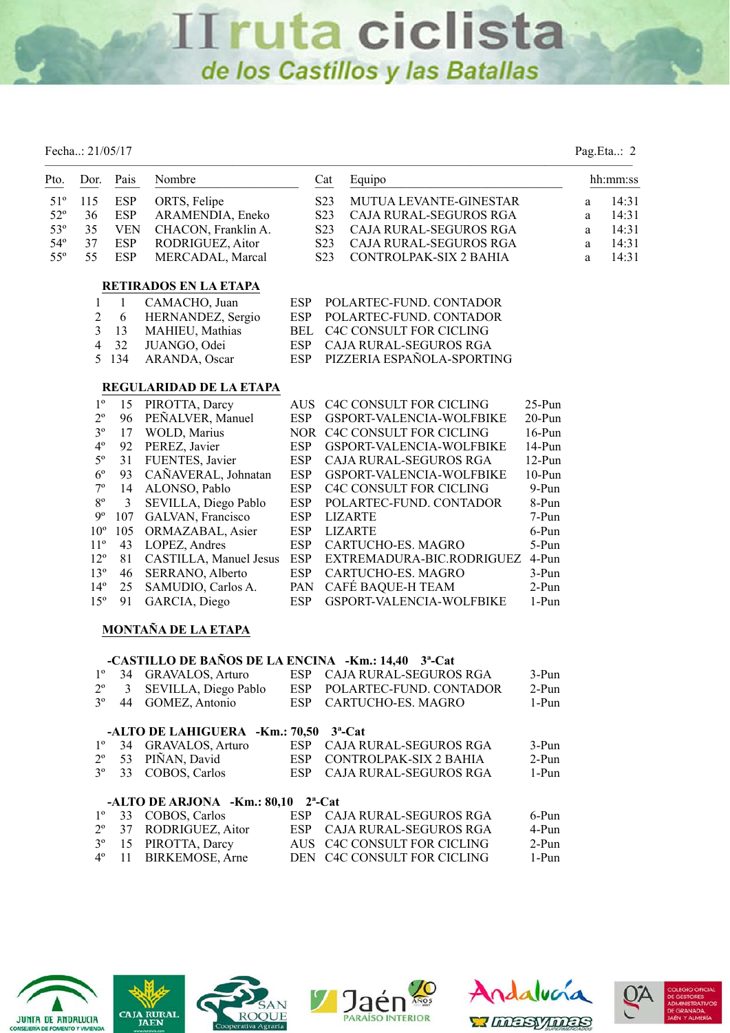Fecha..: 21/05/17 Pag.Eta..: 2

| Pto.         | Dor.            | Pais           | Nombre                                                                                     |            | Equipo<br>Cat                              |               |              | hh:mm:ss |
|--------------|-----------------|----------------|--------------------------------------------------------------------------------------------|------------|--------------------------------------------|---------------|--------------|----------|
| $51^{\circ}$ | 115             | <b>ESP</b>     | ORTS, Felipe                                                                               |            | S <sub>2</sub> 3<br>MUTUA LEVANTE-GINESTAR |               | $\rm{a}$     | 14:31    |
| $52^{\circ}$ | 36              | ESP            | ARAMENDIA, Eneko                                                                           |            | S <sub>2</sub> 3<br>CAJA RURAL-SEGUROS RGA |               | $\mathbf{a}$ | 14:31    |
| $53^{\circ}$ | 35              | <b>VEN</b>     | CHACON, Franklin A.                                                                        |            | S <sub>2</sub> 3<br>CAJA RURAL-SEGUROS RGA |               | a            | 14:31    |
| $54^{\circ}$ | 37              | <b>ESP</b>     | RODRIGUEZ, Aitor                                                                           |            | S <sub>2</sub> 3<br>CAJA RURAL-SEGUROS RGA |               | a            | 14:31    |
| $55^{\circ}$ | 55              | <b>ESP</b>     | MERCADAL, Marcal                                                                           |            | S <sub>2</sub> 3<br>CONTROLPAK-SIX 2 BAHIA |               | a            | 14:31    |
|              |                 |                | RETIRADOS EN LA ETAPA                                                                      |            |                                            |               |              |          |
|              | $\mathbf{1}$    | $\mathbf{1}$   | CAMACHO, Juan                                                                              | <b>ESP</b> | POLARTEC-FUND. CONTADOR                    |               |              |          |
|              | $\mathfrak{2}$  | 6              | HERNANDEZ, Sergio                                                                          | <b>ESP</b> | POLARTEC-FUND. CONTADOR                    |               |              |          |
|              | $\mathfrak{Z}$  | 13             | MAHIEU, Mathias                                                                            | <b>BEL</b> | C4C CONSULT FOR CICLING                    |               |              |          |
|              | $\overline{4}$  | 32             | JUANGO, Odei                                                                               | <b>ESP</b> | CAJA RURAL-SEGUROS RGA                     |               |              |          |
|              | 5               | 134            | ARANDA, Oscar                                                                              | <b>ESP</b> | PIZZERIA ESPAÑOLA-SPORTING                 |               |              |          |
|              |                 |                | REGULARIDAD DE LA ETAPA                                                                    |            |                                            |               |              |          |
|              | $1^{\circ}$     | 15             | PIROTTA, Darcy                                                                             | <b>AUS</b> | C4C CONSULT FOR CICLING                    | $25-Pun$      |              |          |
|              | $2^{\circ}$     | 96             | PEÑALVER, Manuel                                                                           | <b>ESP</b> | GSPORT-VALENCIA-WOLFBIKE                   | $20-Pun$      |              |          |
|              | $3^{\circ}$     | 17             | WOLD, Marius                                                                               |            | NOR C4C CONSULT FOR CICLING                | $16-Pun$      |              |          |
|              | $4^{\rm o}$     | 92             | PEREZ, Javier                                                                              | <b>ESP</b> | GSPORT-VALENCIA-WOLFBIKE                   | 14-Pun        |              |          |
|              | $5^{\circ}$     | 31             | FUENTES, Javier                                                                            | <b>ESP</b> | CAJA RURAL-SEGUROS RGA                     | $12-Pun$      |              |          |
|              | $6^{\circ}$     | 93             | CAÑAVERAL, Johnatan                                                                        | <b>ESP</b> | GSPORT-VALENCIA-WOLFBIKE                   | $10-Pun$      |              |          |
|              | $7^{\rm o}$     | 14             | ALONSO, Pablo                                                                              | <b>ESP</b> | C4C CONSULT FOR CICLING                    | 9-Pun         |              |          |
|              | $8^{\circ}$     | $\mathfrak{Z}$ | SEVILLA, Diego Pablo                                                                       | <b>ESP</b> | POLARTEC-FUND. CONTADOR                    | 8-Pun         |              |          |
|              | $9^{\rm o}$     |                | 107 GALVAN, Francisco                                                                      | <b>ESP</b> | <b>LIZARTE</b>                             | 7-Pun         |              |          |
|              | $10^{\circ}$    | 105            | ORMAZABAL, Asier                                                                           | <b>ESP</b> | <b>LIZARTE</b>                             | 6-Pun         |              |          |
|              | $11^{\circ}$    | 43             | LOPEZ, Andres                                                                              | <b>ESP</b> | CARTUCHO-ES. MAGRO                         | 5-Pun         |              |          |
|              | $12^{\circ}$    | 81             | CASTILLA, Manuel Jesus                                                                     | <b>ESP</b> | EXTREMADURA-BIC.RODRIGUEZ 4-Pun            |               |              |          |
|              | $13^{\circ}$    | 46             | SERRANO, Alberto                                                                           | <b>ESP</b> | CARTUCHO-ES. MAGRO                         | 3-Pun         |              |          |
|              | $14^{\circ}$    | 25             | SAMUDIO, Carlos A.                                                                         | PAN        | CAFÉ BAQUE-H TEAM                          | $2-Pun$       |              |          |
|              | $15^{\circ}$    | 91             | GARCIA, Diego                                                                              | <b>ESP</b> | GSPORT-VALENCIA-WOLFBIKE                   | 1-Pun         |              |          |
|              |                 |                | <b>MONTAÑA DE LA ETAPA</b>                                                                 |            |                                            |               |              |          |
|              |                 |                |                                                                                            |            |                                            |               |              |          |
|              | $1^{\circ}$     | 34             | -CASTILLO DE BAÑOS DE LA ENCINA -Km.: 14,40 3 <sup>a</sup> -Cat<br><b>GRAVALOS, Arturo</b> |            | ESP CAJA RURAL-SEGUROS RGA                 | 3-Pun         |              |          |
|              | $2^{\circ}$     | $\mathfrak{Z}$ | SEVILLA, Diego Pablo                                                                       | <b>ESP</b> | POLARTEC-FUND. CONTADOR                    | $2-Pun$       |              |          |
|              | $3^{\circ}$     | 44             | GOMEZ, Antonio                                                                             | <b>ESP</b> | CARTUCHO-ES. MAGRO                         | 1-Pun         |              |          |
|              |                 |                |                                                                                            |            |                                            |               |              |          |
|              | 10 <sup>1</sup> |                | -ALTO DE LAHIGUERA -Km.: 70,50 3 <sup>a</sup> -Cat                                         |            | $GUT$ bunit gratings $DG$                  | $\sim$ $\sim$ |              |          |

|  | 1º 34 GRAVALOS, Arturo                          | ESP CAJA RURAL-SEGUROS RGA | $3-Pun$ |
|--|-------------------------------------------------|----------------------------|---------|
|  | $2^{\circ}$ 53 PIÑAN, David                     | ESP CONTROLPAK-SIX 2 BAHIA | $2-Pun$ |
|  | 3 <sup>°</sup> 33 COBOS, Carlos                 | ESP CAJA RURAL-SEGUROS RGA | 1-Pun   |
|  |                                                 |                            |         |
|  | -ALTO DE ARJONA -Km.: 80,10 2 <sup>a</sup> -Cat |                            |         |
|  | 1 <sup>°</sup> 33 COBOS, Carlos                 | ESP CAJA RURAL-SEGUROS RGA | $6-Pun$ |
|  | 2° 37 RODRIGUEZ, Aitor                          | ESP CAJA RURAL-SEGUROS RGA | 4-Pun   |











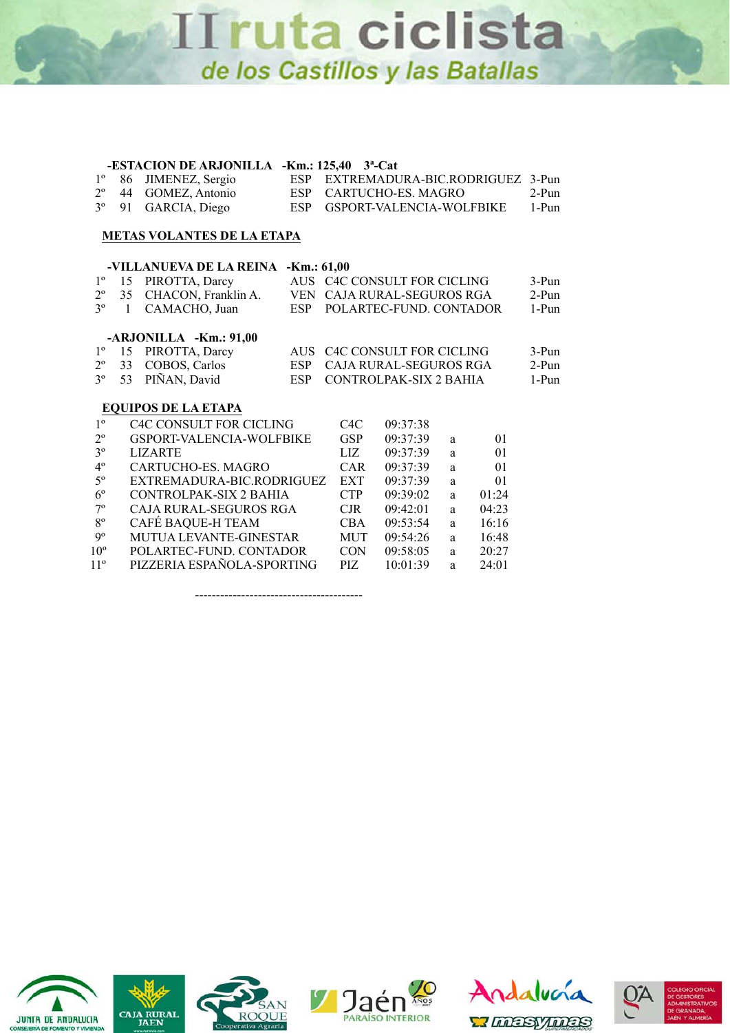#### **-ESTACION DE ARJONILLA -Km.: 125,40 3ª-Cat**

|  | 1° 86 JIMENEZ, Sergio            | ESP EXTREMADURA-BIC.RODRIGUEZ 3-Pun |       |
|--|----------------------------------|-------------------------------------|-------|
|  | 2 <sup>°</sup> 44 GOMEZ, Antonio | ESP CARTUCHO-ES. MAGRO              | 2-Pun |
|  | 3 <sup>°</sup> 91 GARCIA, Diego  | ESP GSPORT-VALENCIA-WOLFBIKE        | 1-Pun |

#### **METAS VOLANTES DE LA ETAPA**

|                |    | -VILLANUEVA DE LA REINA        | $-Km.: 61,00$ |                  |                                      |   |       |         |
|----------------|----|--------------------------------|---------------|------------------|--------------------------------------|---|-------|---------|
| $1^{\circ}$    | 15 | PIROTTA, Darcy                 |               |                  | AUS C4C CONSULT FOR CICLING          |   |       | 3-Pun   |
| $2^{\circ}$    | 35 | CHACON, Franklin A.            | <b>VEN</b>    |                  | CAJA RURAL-SEGUROS RGA               |   |       | 2-Pun   |
| 3 <sup>o</sup> | 1  | CAMACHO, Juan                  | <b>ESP</b>    |                  | POLARTEC-FUND. CONTADOR              |   |       | 1-Pun   |
|                |    | $-ARJONILLA - Km.: 91,00$      |               |                  |                                      |   |       |         |
| $1^{\circ}$    | 15 | PIROTTA, Darcy                 | <b>AUS</b>    |                  | C <sub>4</sub> C CONSULT FOR CICLING |   |       | 3-Pun   |
| $2^{\circ}$    | 33 | COBOS, Carlos                  | ESP.          |                  | CAJA RURAL-SEGUROS RGA               |   |       | $2-Pun$ |
| 3 <sup>o</sup> | 53 | PIÑAN, David                   | <b>ESP</b>    |                  | CONTROLPAK-SIX 2 BAHIA               |   |       | 1-Pun   |
|                |    | <b>EQUIPOS DE LA ETAPA</b>     |               |                  |                                      |   |       |         |
| 1 <sup>0</sup> |    | <b>C4C CONSULT FOR CICLING</b> |               | C <sub>4</sub> C | 09:37:38                             |   |       |         |
| $2^{\circ}$    |    | GSPORT-VALENCIA-WOLFBIKE       |               | <b>GSP</b>       | 09:37:39                             | a | 01    |         |
| $3^{\circ}$    |    | <b>LIZARTE</b>                 |               | LIZ              | 09:37:39                             | a | 01    |         |
| $4^{\circ}$    |    | CARTUCHO-ES, MAGRO             |               | <b>CAR</b>       | 09:37:39                             | a | 01    |         |
| $5^{\circ}$    |    | EXTREMADURA-BIC.RODRIGUEZ      |               | <b>EXT</b>       | 09:37:39                             | a | 01    |         |
| $6^{\circ}$    |    | CONTROLPAK-SIX 2 BAHIA         |               | <b>CTP</b>       | 09:39:02                             | a | 01:24 |         |
| $7^{\circ}$    |    | CAJA RURAL-SEGUROS RGA         |               | $C$ JR           | 09:42:01                             | a | 04:23 |         |
| $8^{\circ}$    |    | CAFÉ BAQUE-H TEAM              |               | <b>CBA</b>       | 09:53:54                             | a | 16:16 |         |
| $9^{\circ}$    |    | MUTUA LEVANTE-GINESTAR         |               | <b>MUT</b>       | 09:54:26                             | a | 16:48 |         |
| $10^{\circ}$   |    | POLARTEC-FUND, CONTADOR        |               | CON.             | 09:58:05                             | a | 20:27 |         |
| $11^{\circ}$   |    | PIZZERIA ESPAÑOLA-SPORTING     |               | PIZ              | 10:01:39                             | a | 24:01 |         |

----------------------------------------











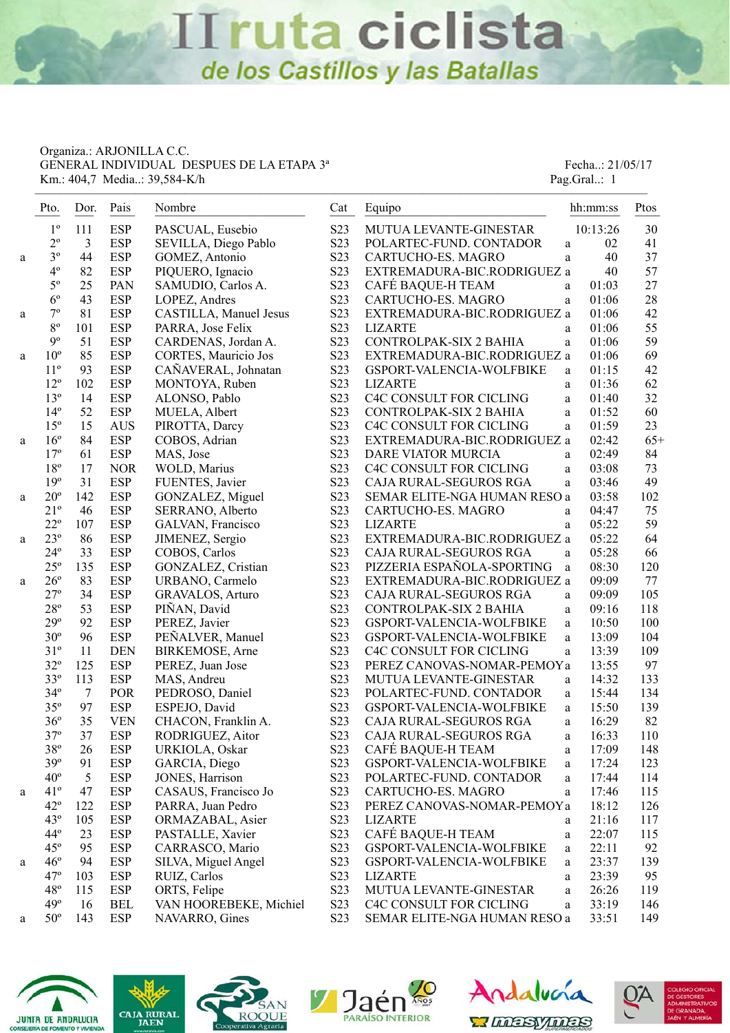Organiza.: ARJONILLA C.C. GENERAL INDIVIDUAL DESPUES DE LA ETAPA 3<sup>ª</sup> Fecha..: 21/05/17 Km.: 404,7 Media..: 39,584-K/h Pag.Gral..: 1

|   | Pto.         | Dor.           | Pais       | Nombre                 | Cat              | Equipo                       | hh:mm:ss              | Ptos  |
|---|--------------|----------------|------------|------------------------|------------------|------------------------------|-----------------------|-------|
|   | $1^{\circ}$  | 111            | <b>ESP</b> | PASCUAL, Eusebio       | S23              | MUTUA LEVANTE-GINESTAR       | 10:13:26              | 30    |
|   | $2^{\circ}$  | 3              | <b>ESP</b> | SEVILLA, Diego Pablo   | S23              | POLARTEC-FUND. CONTADOR      | 02<br>a               | 41    |
| a | $3^{\circ}$  | 44             | <b>ESP</b> | GOMEZ, Antonio         | S23              | CARTUCHO-ES. MAGRO           | 40<br>a               | 37    |
|   | $4^{\circ}$  | 82             | <b>ESP</b> | PIQUERO, Ignacio       | S <sub>2</sub> 3 | EXTREMADURA-BIC.RODRIGUEZ a  | 40                    | 57    |
|   | $5^{\circ}$  | 25             | PAN        | SAMUDIO, Carlos A.     | S <sub>2</sub> 3 | CAFÉ BAQUE-H TEAM            | 01:03<br>a            | 27    |
|   | $6^{\circ}$  | 43             | <b>ESP</b> | LOPEZ, Andres          | S <sub>2</sub> 3 | CARTUCHO-ES. MAGRO           | 01:06<br>a            | 28    |
| a | $7^{\rm o}$  | 81             | <b>ESP</b> | CASTILLA, Manuel Jesus | S23              | EXTREMADURA-BIC.RODRIGUEZ a  | 01:06                 | 42    |
|   | $8^{\circ}$  | 101            | <b>ESP</b> | PARRA, Jose Felix      | S23              | <b>LIZARTE</b>               | 01:06<br>a            | 55    |
|   | $9^{\circ}$  | 51             | <b>ESP</b> | CARDENAS, Jordan A.    | S23              | CONTROLPAK-SIX 2 BAHIA       | 01:06<br>$\rm{a}$     | 59    |
| a | $10^{\circ}$ | 85             | <b>ESP</b> | CORTES, Mauricio Jos   | S23              | EXTREMADURA-BIC.RODRIGUEZ a  | 01:06                 | 69    |
|   | $11^{\circ}$ | 93             | <b>ESP</b> | CAÑAVERAL, Johnatan    | S <sub>2</sub> 3 | GSPORT-VALENCIA-WOLFBIKE     | 01:15<br>$\rm{a}$     | 42    |
|   | $12^{\circ}$ | 102            | <b>ESP</b> | MONTOYA, Ruben         | S <sub>2</sub> 3 | <b>LIZARTE</b>               | 01:36<br>a            | 62    |
|   | $13^{\circ}$ | 14             | <b>ESP</b> | ALONSO, Pablo          | S23              | C4C CONSULT FOR CICLING      | 01:40<br>$\rm{a}$     | 32    |
|   | $14^{\circ}$ | 52             | <b>ESP</b> | MUELA, Albert          | S23              | CONTROLPAK-SIX 2 BAHIA       | 01:52<br>$\rm{a}$     | 60    |
|   | $15^{\circ}$ | 15             | <b>AUS</b> | PIROTTA, Darcy         | S <sub>2</sub> 3 | C4C CONSULT FOR CICLING      | 01:59<br>a            | 23    |
| a | $16^{\circ}$ | 84             | <b>ESP</b> | COBOS, Adrian          | S <sub>2</sub> 3 | EXTREMADURA-BIC.RODRIGUEZ a  | 02:42                 | $65+$ |
|   | $17^{\circ}$ | 61             | <b>ESP</b> | MAS, Jose              | S <sub>2</sub> 3 | DARE VIATOR MURCIA           | 02:49<br>a            | 84    |
|   | $18^{\circ}$ | 17             | <b>NOR</b> | WOLD, Marius           | S <sub>2</sub> 3 | C4C CONSULT FOR CICLING      | 03:08<br>$\mathbf{a}$ | 73    |
|   | 19°          | 31             | <b>ESP</b> | FUENTES, Javier        | S23              | CAJA RURAL-SEGUROS RGA       | 03:46<br>$\mathbf{a}$ | 49    |
| a | $20^{\circ}$ | 142            | <b>ESP</b> | GONZALEZ, Miguel       | S <sub>2</sub> 3 | SEMAR ELITE-NGA HUMAN RESO a | 03:58                 | 102   |
|   | $21^{\circ}$ | 46             | <b>ESP</b> | SERRANO, Alberto       | S <sub>2</sub> 3 | CARTUCHO-ES. MAGRO           | 04:47<br>$\mathbf{a}$ | 75    |
|   | $22^{\circ}$ | 107            | <b>ESP</b> | GALVAN, Francisco      | S23              | <b>LIZARTE</b>               | 05:22<br>a            | 59    |
| a | $23^{\circ}$ | 86             | <b>ESP</b> | JIMENEZ, Sergio        | S <sub>2</sub> 3 | EXTREMADURA-BIC.RODRIGUEZ a  | 05:22                 | 64    |
|   | $24^{\circ}$ | 33             | <b>ESP</b> | COBOS, Carlos          | S23              | CAJA RURAL-SEGUROS RGA       | 05:28<br>a            | 66    |
|   | $25^{\circ}$ | 135            | <b>ESP</b> | GONZALEZ, Cristian     | S23              | PIZZERIA ESPAÑOLA-SPORTING   | 08:30<br>a            | 120   |
| a | $26^{\circ}$ | 83             | <b>ESP</b> | URBANO, Carmelo        | S23              | EXTREMADURA-BIC.RODRIGUEZ a  | 09:09                 | 77    |
|   | $27^{\circ}$ | 34             | <b>ESP</b> | GRAVALOS, Arturo       | S <sub>2</sub> 3 | CAJA RURAL-SEGUROS RGA       | 09:09<br>a            | 105   |
|   | $28^{\rm o}$ | 53             | <b>ESP</b> | PIÑAN, David           | S23              | CONTROLPAK-SIX 2 BAHIA       | 09:16<br>a            | 118   |
|   | $29^{\circ}$ | 92             | <b>ESP</b> | PEREZ, Javier          | S <sub>2</sub> 3 | GSPORT-VALENCIA-WOLFBIKE     | 10:50<br>$\rm{a}$     | 100   |
|   | $30^{\circ}$ | 96             | <b>ESP</b> | PEÑALVER, Manuel       | S23              | GSPORT-VALENCIA-WOLFBIKE     | 13:09<br>$\rm{a}$     | 104   |
|   | $31^{\circ}$ | 11             | <b>DEN</b> | BIRKEMOSE, Arne        | S23              | C4C CONSULT FOR CICLING      | 13:39<br>$\rm{a}$     | 109   |
|   | $32^{\circ}$ | 125            | <b>ESP</b> | PEREZ, Juan Jose       | S23              | PEREZ CANOVAS-NOMAR-PEMOYa   | 13:55                 | 97    |
|   | $33^{\circ}$ | 113            | <b>ESP</b> | MAS, Andreu            | S23              | MUTUA LEVANTE-GINESTAR       | 14:32<br>$\rm{a}$     | 133   |
|   | $34^{\circ}$ | $\overline{7}$ | POR        | PEDROSO, Daniel        | S <sub>2</sub> 3 | POLARTEC-FUND. CONTADOR      | 15:44<br>$\rm{a}$     | 134   |
|   | $35^{\circ}$ | 97             | <b>ESP</b> | ESPEJO, David          | S23              | GSPORT-VALENCIA-WOLFBIKE     | 15:50<br>$\rm{a}$     | 139   |
|   | $36^{\circ}$ | 35             | <b>VEN</b> | CHACON, Franklin A.    | S23              | CAJA RURAL-SEGUROS RGA       | 16:29<br>$\mathbf{a}$ | 82    |
|   | $37^{\circ}$ | 37             | <b>ESP</b> | RODRIGUEZ, Aitor       | S23              | CAJA RURAL-SEGUROS RGA       | 16:33<br>a            | 110   |
|   | $38^{\circ}$ | 26             | <b>ESP</b> | URKIOLA, Oskar         | S <sub>2</sub> 3 | CAFÉ BAQUE-H TEAM            | 17:09<br>a            | 148   |
|   | 39°          | 91             | <b>ESP</b> | GARCIA, Diego          | S23              | GSPORT-VALENCIA-WOLFBIKE     | 17:24<br>a            | 123   |
|   | $40^{\circ}$ | 5              | <b>ESP</b> | JONES, Harrison        | S23              | POLARTEC-FUND. CONTADOR      | 17:44<br>a            | 114   |
| a | $41^{\circ}$ | 47             | <b>ESP</b> | CASAUS, Francisco Jo   | S23              | CARTUCHO-ES. MAGRO           | 17:46<br>$\rm{a}$     | 115   |
|   | $42^{\circ}$ | 122            | <b>ESP</b> | PARRA, Juan Pedro      | S <sub>2</sub> 3 | PEREZ CANOVAS-NOMAR-PEMOYa   | 18:12                 | 126   |
|   | $43^{\circ}$ | 105            | <b>ESP</b> | ORMAZABAL, Asier       | S <sub>2</sub> 3 | <b>LIZARTE</b>               | 21:16<br>a            | 117   |
|   | $44^{\circ}$ | 23             | <b>ESP</b> | PASTALLE, Xavier       | S23              | CAFÉ BAQUE-H TEAM            | 22:07<br>a            | 115   |
|   | $45^{\circ}$ | 95             | <b>ESP</b> | CARRASCO, Mario        | S23              | GSPORT-VALENCIA-WOLFBIKE     | 22:11<br>a            | 92    |
| a | $46^{\circ}$ | 94             | <b>ESP</b> | SILVA, Miguel Angel    | S23              | GSPORT-VALENCIA-WOLFBIKE     | 23:37<br>a            | 139   |
|   | $47^\circ$   | 103            | <b>ESP</b> | RUIZ, Carlos           | S <sub>2</sub> 3 | <b>LIZARTE</b>               | 23:39<br>a            | 95    |
|   | $48^{\circ}$ | 115            | <b>ESP</b> | ORTS, Felipe           | S23              | MUTUA LEVANTE-GINESTAR       | 26:26<br>$\rm{a}$     | 119   |
|   | 49°          | 16             | <b>BEL</b> | VAN HOOREBEKE, Michiel | S23              | C4C CONSULT FOR CICLING      | 33:19<br>$\rm{a}$     | 146   |
| a | $50^{\circ}$ | 143            | <b>ESP</b> | NAVARRO, Gines         | S23              | SEMAR ELITE-NGA HUMAN RESO a | 33:51                 | 149   |









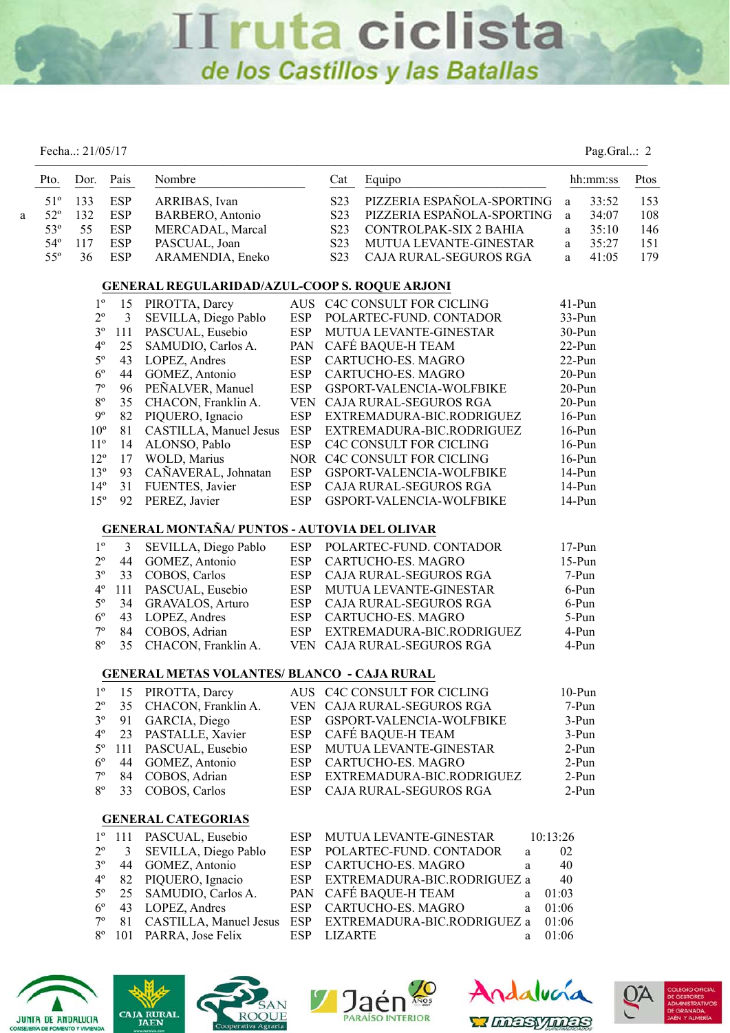|   |              | Fecha: 21/05/17 |                |                                                      |            |                  |                                     |          | Pag.Gral: 2 |      |
|---|--------------|-----------------|----------------|------------------------------------------------------|------------|------------------|-------------------------------------|----------|-------------|------|
|   | Pto.         | Dor.            | Pais           | Nombre                                               |            | Cat              | Equipo                              |          | hh:mm:ss    | Ptos |
|   | $51^{\circ}$ | 133             | <b>ESP</b>     | ARRIBAS, Ivan                                        |            | S <sub>2</sub> 3 | PIZZERIA ESPAÑOLA-SPORTING          | a        | 33:52       | 153  |
| a | $52^{\circ}$ | 132             | <b>ESP</b>     | BARBERO, Antonio                                     |            | S <sub>2</sub> 3 | PIZZERIA ESPAÑOLA-SPORTING          | a        | 34:07       | 108  |
|   | 53°          | 55              | <b>ESP</b>     | MERCADAL, Marcal                                     |            | S <sub>2</sub> 3 | CONTROLPAK-SIX 2 BAHIA              | a        | 35:10       | 146  |
|   | $54^{\circ}$ | 117             | <b>ESP</b>     | PASCUAL, Joan                                        |            | S <sub>2</sub> 3 | MUTUA LEVANTE-GINESTAR              | a        | 35:27       | 151  |
|   | $55^{\circ}$ | 36              | <b>ESP</b>     | ARAMENDIA, Eneko                                     |            | S <sub>2</sub> 3 | CAJA RURAL-SEGUROS RGA              | a        | 41:05       | 179  |
|   |              |                 |                | <b>GENERAL REGULARIDAD/AZUL-COOP S. ROQUE ARJONI</b> |            |                  |                                     |          |             |      |
|   |              | $1^{\circ}$     | 15             | PIROTTA, Darcy                                       |            |                  | AUS C4C CONSULT FOR CICLING         | 41-Pun   |             |      |
|   |              | $2^{\circ}$     | 3              | SEVILLA, Diego Pablo                                 | <b>ESP</b> |                  | POLARTEC-FUND. CONTADOR             | 33-Pun   |             |      |
|   |              | $3^{\rm o}$     | 111            | PASCUAL, Eusebio                                     | <b>ESP</b> |                  | MUTUA LEVANTE-GINESTAR              | 30-Pun   |             |      |
|   |              | $4^{\rm o}$     | 25             | SAMUDIO, Carlos A.                                   | PAN        |                  | CAFÉ BAQUE-H TEAM                   | 22-Pun   |             |      |
|   |              | $5^{\rm o}$     | 43             | LOPEZ, Andres                                        | <b>ESP</b> |                  | CARTUCHO-ES. MAGRO                  | 22-Pun   |             |      |
|   |              | $6^{\rm o}$     | 44             | GOMEZ, Antonio                                       | <b>ESP</b> |                  | CARTUCHO-ES. MAGRO                  | 20-Pun   |             |      |
|   |              | $7^{\rm o}$     | 96             | PEÑALVER, Manuel                                     | <b>ESP</b> |                  | GSPORT-VALENCIA-WOLFBIKE            | 20-Pun   |             |      |
|   |              | $8^{\rm o}$     | 35             | CHACON, Franklin A.                                  |            |                  | VEN CAJA RURAL-SEGUROS RGA          | 20-Pun   |             |      |
|   |              | $9^{\rm o}$     | 82             | PIQUERO, Ignacio                                     | <b>ESP</b> |                  | EXTREMADURA-BIC.RODRIGUEZ           | $16-Pun$ |             |      |
|   |              | $10^{\circ}$    | 81             | CASTILLA, Manuel Jesus                               | ESP        |                  | EXTREMADURA-BIC.RODRIGUEZ           | $16-Pun$ |             |      |
|   |              | $11^{\circ}$    | 14             | ALONSO, Pablo                                        | <b>ESP</b> |                  | C4C CONSULT FOR CICLING             | $16-Pun$ |             |      |
|   |              | $12^{\circ}$    | 17             | WOLD, Marius                                         |            |                  | NOR C4C CONSULT FOR CICLING         | $16-Pun$ |             |      |
|   |              | $13^{\circ}$    | 93             | CAÑAVERAL, Johnatan                                  | <b>ESP</b> |                  | GSPORT-VALENCIA-WOLFBIKE            | 14-Pun   |             |      |
|   |              | $14^{\circ}$    | 31             | FUENTES, Javier                                      | <b>ESP</b> |                  | CAJA RURAL-SEGUROS RGA              | 14-Pun   |             |      |
|   |              | 15 <sup>°</sup> | 92             | PEREZ, Javier                                        | <b>ESP</b> |                  | GSPORT-VALENCIA-WOLFBIKE            | 14-Pun   |             |      |
|   |              |                 |                | GENERAL MONTAÑA/ PUNTOS - AUTOVIA DEL OLIVAR         |            |                  |                                     |          |             |      |
|   |              | $1^{\circ}$     | 3              | SEVILLA, Diego Pablo                                 | <b>ESP</b> |                  | POLARTEC-FUND. CONTADOR             | $17-Pun$ |             |      |
|   |              | $2^{\circ}$     | 44             | GOMEZ, Antonio                                       | <b>ESP</b> |                  | CARTUCHO-ES. MAGRO                  | $15-Pun$ |             |      |
|   |              | $3^{\circ}$     | 33             | COBOS, Carlos                                        | ESP        |                  | CAJA RURAL-SEGUROS RGA              |          | 7-Pun       |      |
|   |              | $4^{\rm o}$     | 111            | PASCUAL, Eusebio                                     | <b>ESP</b> |                  | MUTUA LEVANTE-GINESTAR              |          | 6-Pun       |      |
|   |              | $5^{\rm o}$     | 34             | GRAVALOS, Arturo                                     | <b>ESP</b> |                  | CAJA RURAL-SEGUROS RGA              |          | 6-Pun       |      |
|   |              | $6^{\circ}$     | 43             | LOPEZ, Andres                                        | <b>ESP</b> |                  | CARTUCHO-ES. MAGRO                  |          | 5-Pun       |      |
|   |              | $7^{\rm o}$     |                | 84 COBOS, Adrian                                     | <b>ESP</b> |                  | EXTREMADURA-BIC.RODRIGUEZ           |          | 4-Pun       |      |
|   |              | $8^{\circ}$     | 35             | CHACON, Franklin A.                                  |            |                  | VEN CAJA RURAL-SEGUROS RGA          |          | 4-Pun       |      |
|   |              |                 |                | <b>GENERAL METAS VOLANTES/ BLANCO - CAJA RURAL</b>   |            |                  |                                     |          |             |      |
|   |              | $1^{\circ}$     | 15             | PIROTTA, Darcy                                       |            |                  | AUS C4C CONSULT FOR CICLING         | $10-Pun$ |             |      |
|   |              | $2^{\rm o}$     | 35             | CHACON, Franklin A.                                  |            |                  | VEN CAJA RURAL-SEGUROS RGA          |          | 7-Pun       |      |
|   |              | $3^{\rm o}$     | 91             | GARCIA, Diego                                        | <b>ESP</b> |                  | GSPORT-VALENCIA-WOLFBIKE            |          | $3-Pun$     |      |
|   |              | $4^{\circ}$     | 23             | PASTALLE, Xavier                                     | <b>ESP</b> |                  | CAFÉ BAQUE-H TEAM                   |          | 3-Pun       |      |
|   |              | $5^{\circ}$     | 111            | PASCUAL, Eusebio                                     | <b>ESP</b> |                  | MUTUA LEVANTE-GINESTAR              |          | 2-Pun       |      |
|   |              | $6^{\circ}$     | 44             | GOMEZ, Antonio                                       | <b>ESP</b> |                  | CARTUCHO-ES. MAGRO                  |          | $2-Pun$     |      |
|   |              | $7^{\circ}$     | 84             | COBOS, Adrian                                        | <b>ESP</b> |                  | EXTREMADURA-BIC.RODRIGUEZ           |          | 2-Pun       |      |
|   |              | $8^{\circ}$     | 33             | COBOS, Carlos                                        | <b>ESP</b> |                  | CAJA RURAL-SEGUROS RGA              |          | $2-Pun$     |      |
|   |              |                 |                | <b>GENERAL CATEGORIAS</b>                            |            |                  |                                     |          |             |      |
|   |              | $1^{\circ}$     | 111            | PASCUAL, Eusebio                                     | <b>ESP</b> |                  | MUTUA LEVANTE-GINESTAR              | 10:13:26 |             |      |
|   |              | $2^{\rm o}$     | $\mathfrak{Z}$ | SEVILLA, Diego Pablo                                 | <b>ESP</b> |                  | POLARTEC-FUND. CONTADOR<br>$\rm{a}$ | 02       |             |      |
|   |              | $3^{\circ}$     | 44             | GOMEZ, Antonio                                       | <b>ESP</b> |                  | CARTUCHO-ES. MAGRO<br>$\rm{a}$      | 40       |             |      |
|   |              | $4^{\circ}$     | 82             | PIQUERO, Ignacio                                     | <b>ESP</b> |                  | EXTREMADURA-BIC.RODRIGUEZ a         | 40       |             |      |
|   |              | $5^{\circ}$     | 25             | SAMUDIO, Carlos A.                                   | PAN        |                  | CAFÉ BAQUE-H TEAM<br>a              | 01:03    |             |      |
|   |              | $6^{\circ}$     | 43             | LOPEZ, Andres                                        | <b>ESP</b> |                  | CARTUCHO-ES. MAGRO<br>a             | 01:06    |             |      |
|   |              | $7^{\circ}$     | 81             | CASTILLA, Manuel Jesus                               | <b>ESP</b> |                  | EXTREMADURA-BIC.RODRIGUEZ a         | 01:06    |             |      |
|   |              | $8^{\circ}$     | 101            | PARRA, Jose Felix                                    | <b>ESP</b> | <b>LIZARTE</b>   | a                                   | 01:06    |             |      |
|   |              |                 |                |                                                      |            |                  |                                     |          |             |      |









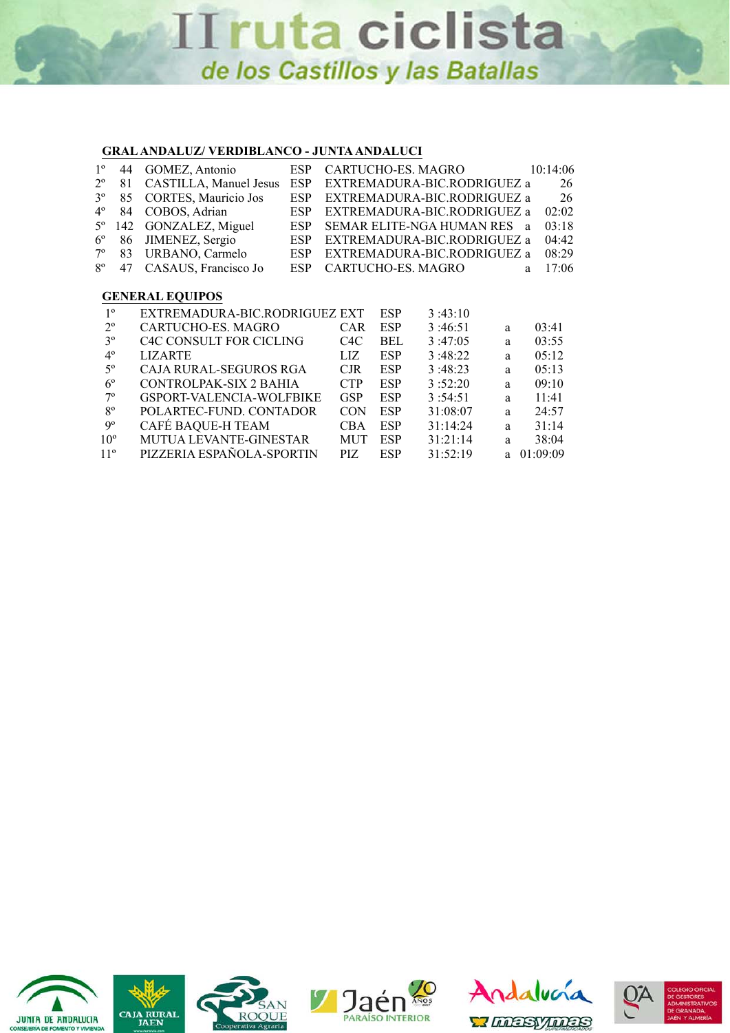### **GRAL ANDALUZ/ VERDIBLANCO - JUNTA ANDALUCI**

| $1^{\circ}$     | 44  | GOMEZ, Antonio                 | ESP        |            |            | CARTUCHO-ES, MAGRO               |                             |    | 10:14:06 |
|-----------------|-----|--------------------------------|------------|------------|------------|----------------------------------|-----------------------------|----|----------|
| $2^{\circ}$     | 81  | CASTILLA, Manuel Jesus         | <b>ESP</b> |            |            |                                  | EXTREMADURA-BIC.RODRIGUEZ a |    | 26       |
| 3 <sup>o</sup>  | 85  | CORTES, Mauricio Jos           | <b>ESP</b> |            |            |                                  | EXTREMADURA-BIC.RODRIGUEZ a |    | 26       |
| $4^{\circ}$     | 84  | COBOS, Adrian                  | <b>ESP</b> |            |            |                                  | EXTREMADURA-BIC.RODRIGUEZ a |    | 02:02    |
| $5^{\circ}$     | 142 | GONZALEZ, Miguel               | <b>ESP</b> |            |            | <b>SEMAR ELITE-NGA HUMAN RES</b> |                             | a. | 03:18    |
| $6^{\circ}$     | 86  | JIMENEZ, Sergio                | <b>ESP</b> |            |            |                                  | EXTREMADURA-BIC.RODRIGUEZ a |    | 04:42    |
| $7^\circ$       | 83  | URBANO, Carmelo                | ESP        |            |            |                                  | EXTREMADURA-BIC.RODRIGUEZ a |    | 08:29    |
|                 |     |                                |            |            |            |                                  |                             |    |          |
| $8^{\circ}$     | 47  | CASAUS, Francisco Jo           | <b>ESP</b> |            |            | CARTUCHO-ES. MAGRO               |                             | a  | 17:06    |
|                 |     |                                |            |            |            |                                  |                             |    |          |
|                 |     | <b>GENERAL EQUIPOS</b>         |            |            |            |                                  |                             |    |          |
| $1^{\circ}$     |     | EXTREMADURA-BIC.RODRIGUEZ EXT  |            |            | <b>ESP</b> | 3:43:10                          |                             |    |          |
| $2^{\circ}$     |     | CARTUCHO-ES, MAGRO             |            | <b>CAR</b> | <b>ESP</b> | 3:46:51                          | a                           |    | 03:41    |
| 3 <sup>o</sup>  |     | <b>C4C CONSULT FOR CICLING</b> |            | C4C        | <b>BEL</b> | 3:47:05                          | a                           |    | 03:55    |
| $4^{\circ}$     |     | <b>LIZARTE</b>                 |            | LIZ.       | <b>ESP</b> | 3:48:22                          | a                           |    | 05:12    |
| $5^{\circ}$     |     | CAJA RURAL-SEGUROS RGA         |            | CJR        | <b>ESP</b> | 3:48:23                          | a                           |    | 05:13    |
| $6^{\circ}$     |     | CONTROLPAK-SIX 2 BAHIA         |            | <b>CTP</b> | <b>ESP</b> | 3:52:20                          | a                           |    | 09:10    |
| $7^\circ$       |     | GSPORT-VALENCIA-WOLFBIKE       |            | <b>GSP</b> | <b>ESP</b> | 3:54:51                          | a                           |    | 11:41    |
| $8^{\circ}$     |     | POLARTEC-FUND. CONTADOR        |            | <b>CON</b> | <b>ESP</b> | 31:08:07                         | a                           |    | 24:57    |
| 9°              |     | CAFÉ BAQUE-H TEAM              |            | <b>CBA</b> | <b>ESP</b> | 31:14:24                         | a                           |    | 31:14    |
| 10 <sup>o</sup> |     | <b>MUTUA LEVANTE-GINESTAR</b>  |            | <b>MUT</b> | <b>ESP</b> | 31:21:14                         | a                           |    | 38:04    |
| $11^{\circ}$    |     | PIZZERIA ESPAÑOLA-SPORTIN      |            | PIZ        | <b>ESP</b> | 31:52:19                         | a                           |    | 01:09:09 |